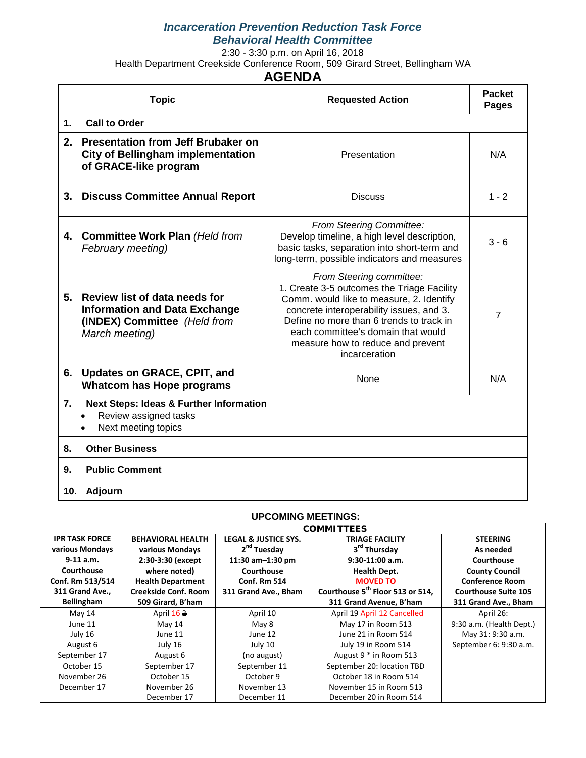# *Incarceration Prevention Reduction Task Force Behavioral Health Committee*

2:30 - 3:30 p.m. on April 16, 2018

Health Department Creekside Conference Room, 509 Girard Street, Bellingham WA

# **AGENDA**

|                | <b>Topic</b>                                                                                                            | <b>Requested Action</b>                                                                                                                                                                                                                                                                                | <b>Packet</b><br>Pages |
|----------------|-------------------------------------------------------------------------------------------------------------------------|--------------------------------------------------------------------------------------------------------------------------------------------------------------------------------------------------------------------------------------------------------------------------------------------------------|------------------------|
| $\mathbf{1}$ . | <b>Call to Order</b>                                                                                                    |                                                                                                                                                                                                                                                                                                        |                        |
| 2.             | <b>Presentation from Jeff Brubaker on</b><br><b>City of Bellingham implementation</b><br>of GRACE-like program          | Presentation                                                                                                                                                                                                                                                                                           | N/A                    |
| 3.             | <b>Discuss Committee Annual Report</b>                                                                                  | <b>Discuss</b>                                                                                                                                                                                                                                                                                         | $1 - 2$                |
| 4.             | <b>Committee Work Plan (Held from</b><br>February meeting)                                                              | From Steering Committee:<br>Develop timeline, a high level description,<br>basic tasks, separation into short-term and<br>long-term, possible indicators and measures                                                                                                                                  | $3 - 6$                |
| 5.             | Review list of data needs for<br><b>Information and Data Exchange</b><br>(INDEX) Committee (Held from<br>March meeting) | From Steering committee:<br>1. Create 3-5 outcomes the Triage Facility<br>Comm. would like to measure, 2. Identify<br>concrete interoperability issues, and 3.<br>Define no more than 6 trends to track in<br>each committee's domain that would<br>measure how to reduce and prevent<br>incarceration | $\overline{7}$         |
| 6.             | Updates on GRACE, CPIT, and<br><b>Whatcom has Hope programs</b>                                                         | None                                                                                                                                                                                                                                                                                                   | N/A                    |
| 7.             | <b>Next Steps: Ideas &amp; Further Information</b><br>Review assigned tasks<br>Next meeting topics                      |                                                                                                                                                                                                                                                                                                        |                        |
| 8.             | <b>Other Business</b>                                                                                                   |                                                                                                                                                                                                                                                                                                        |                        |
| 9.             | <b>Public Comment</b>                                                                                                   |                                                                                                                                                                                                                                                                                                        |                        |
| 10.            | Adjourn                                                                                                                 |                                                                                                                                                                                                                                                                                                        |                        |

### **UPCOMING MEETINGS:**

|                       |                             |                                 | <b>COMMITTEES</b>                            |                             |
|-----------------------|-----------------------------|---------------------------------|----------------------------------------------|-----------------------------|
| <b>IPR TASK FORCE</b> | <b>BEHAVIORAL HEALTH</b>    | <b>LEGAL &amp; JUSTICE SYS.</b> | <b>TRIAGE FACILITY</b>                       | <b>STEERING</b>             |
| various Mondays       | various Mondays             | 2 <sup>nd</sup> Tuesday         | 3 <sup>rd</sup> Thursday                     | As needed                   |
| $9-11$ a.m.           | 2:30-3:30 (except           | 11:30 $am-1:30$ pm              | $9:30-11:00$ a.m.                            | Courthouse                  |
| Courthouse            | where noted)                | Courthouse                      | <b>Health Dept.</b>                          | <b>County Council</b>       |
| Conf. Rm 513/514      | <b>Health Department</b>    | <b>Conf. Rm 514</b>             | <b>MOVED TO</b>                              | <b>Conference Room</b>      |
| 311 Grand Ave.,       | <b>Creekside Conf. Room</b> | 311 Grand Ave., Bham            | Courthouse 5 <sup>th</sup> Floor 513 or 514, | <b>Courthouse Suite 105</b> |
| <b>Bellingham</b>     | 509 Girard, B'ham           |                                 | 311 Grand Avenue, B'ham                      | 311 Grand Ave., Bham        |
| May 14                | April 162                   | April 10                        | April 19 April 12 Cancelled                  | April 26:                   |
| June 11               | May 14                      | May 8                           | May 17 in Room 513                           | 9:30 a.m. (Health Dept.)    |
| July 16               | June 11                     | June 12                         | June 21 in Room 514                          | May 31: 9:30 a.m.           |
| August 6              | July 16                     | July 10                         | July 19 in Room 514                          | September 6: 9:30 a.m.      |
| September 17          | August 6                    | (no august)                     | August 9 * in Room 513                       |                             |
| October 15            | September 17                | September 11                    | September 20: location TBD                   |                             |
| November 26           | October 15                  | October 9                       | October 18 in Room 514                       |                             |
| December 17           | November 26                 | November 13                     | November 15 in Room 513                      |                             |
|                       | December 17                 | December 11                     | December 20 in Room 514                      |                             |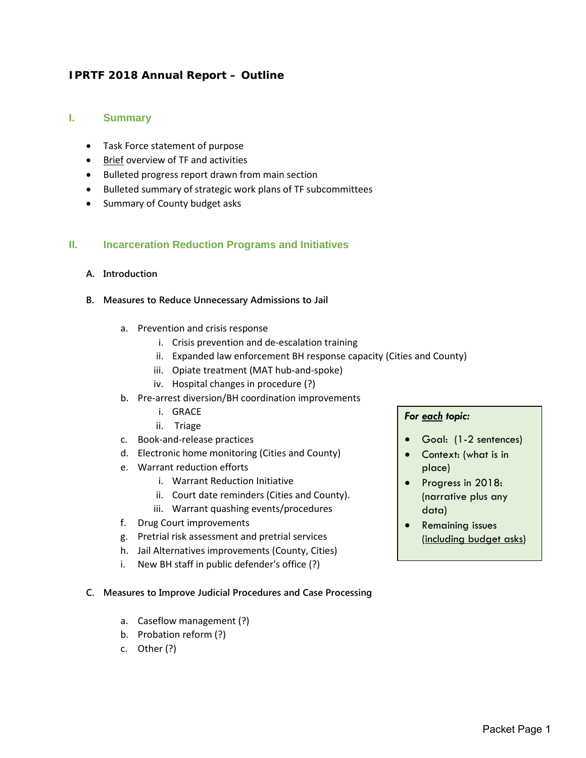# **IPRTF 2018 Annual Report – Outline**

### **I. Summary**

- Task Force statement of purpose
- Brief overview of TF and activities
- Bulleted progress report drawn from main section
- Bulleted summary of strategic work plans of TF subcommittees
- Summary of County budget asks

### **II. Incarceration Reduction Programs and Initiatives**

#### **A. Introduction**

- **B. Measures to Reduce Unnecessary Admissions to Jail**
	- a. Prevention and crisis response
		- i. Crisis prevention and de-escalation training
		- ii. Expanded law enforcement BH response capacity (Cities and County)
		- iii. Opiate treatment (MAT hub-and-spoke)
		- iv. Hospital changes in procedure (?)
	- b. Pre-arrest diversion/BH coordination improvements
		- i. GRACE
		- ii. Triage
	- c. Book-and-release practices
	- d. Electronic home monitoring (Cities and County)
	- e. Warrant reduction efforts
		- i. Warrant Reduction Initiative
		- ii. Court date reminders (Cities and County).
		- iii. Warrant quashing events/procedures
	- f. Drug Court improvements
	- g. Pretrial risk assessment and pretrial services
	- h. Jail Alternatives improvements (County, Cities)
	- i. New BH staff in public defender's office (?)

#### **C. Measures to Improve Judicial Procedures and Case Processing**

- a. Caseflow management (?)
- b. Probation reform (?)
- c. Other (?)

#### *For each topic:*

- Goal: (1-2 sentences)
- Context: (what is in place)
- Progress in 2018: (narrative plus any data)
- Remaining issues (including budget asks)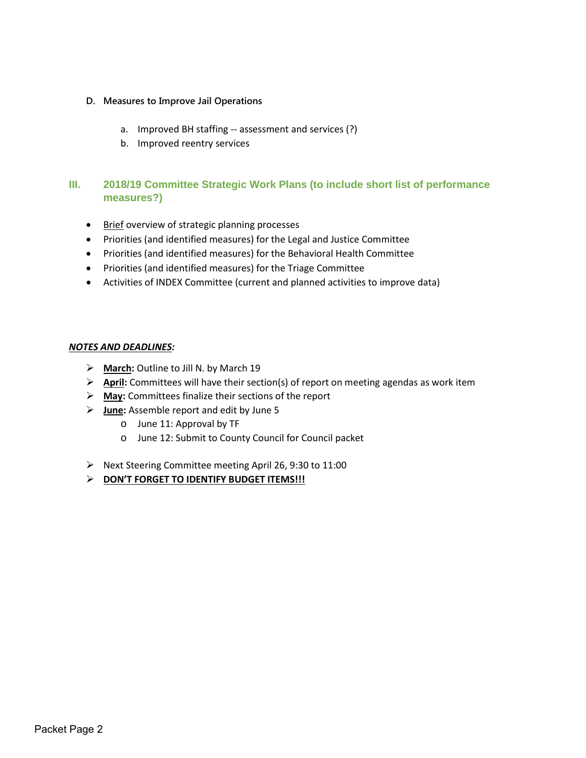#### **D. Measures to Improve Jail Operations**

- a. Improved BH staffing -- assessment and services (?)
- b. Improved reentry services

# **III. 2018/19 Committee Strategic Work Plans (to include short list of performance measures?)**

- Brief overview of strategic planning processes
- Priorities (and identified measures) for the Legal and Justice Committee
- Priorities (and identified measures) for the Behavioral Health Committee
- Priorities (and identified measures) for the Triage Committee
- Activities of INDEX Committee (current and planned activities to improve data)

#### *NOTES AND DEADLINES:*

- **March:** Outline to Jill N. by March 19
- **April:** Committees will have their section(s) of report on meeting agendas as work item
- **May:** Committees finalize their sections of the report
- **June:** Assemble report and edit by June 5
	- o June 11: Approval by TF
	- o June 12: Submit to County Council for Council packet
- Next Steering Committee meeting April 26, 9:30 to 11:00
- **DON'T FORGET TO IDENTIFY BUDGET ITEMS!!!**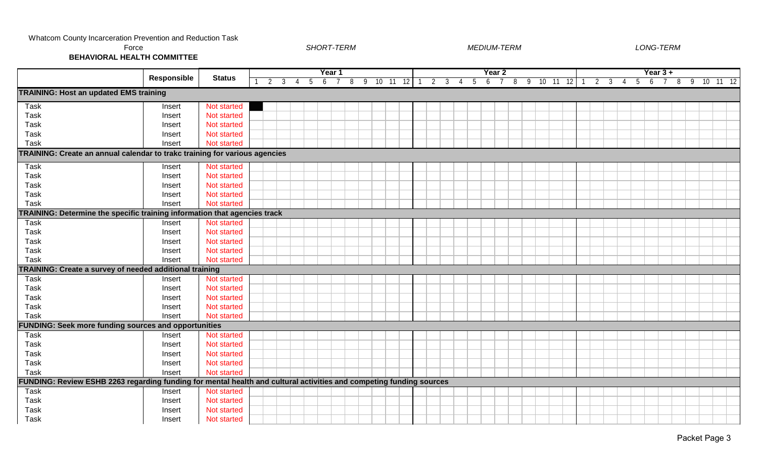| Force<br><b>BEHAVIORAL HEALTH COMMITTEE</b>                                                                         |                    |               |             |                |   | <b>SHORT-TERM</b> |  |           |             |  |                             | <b>MEDIUM-TERM</b> |                           |           |  |    |                |                                |                |     | LONG-TERM     |   |    |          |  |
|---------------------------------------------------------------------------------------------------------------------|--------------------|---------------|-------------|----------------|---|-------------------|--|-----------|-------------|--|-----------------------------|--------------------|---------------------------|-----------|--|----|----------------|--------------------------------|----------------|-----|---------------|---|----|----------|--|
|                                                                                                                     | <b>Responsible</b> | <b>Status</b> | $2 \quad 3$ | $\overline{4}$ | 5 | Year 1<br>6       |  | 8 9 10 11 | $12 \mid 1$ |  | $2 \quad 3 \quad 4 \quad 5$ | $6\overline{6}$    | Year 2<br>$7\overline{ }$ | 8 9 10 11 |  | 12 | $\overline{1}$ | $\overline{2}$<br>$\mathbf{3}$ | $\overline{4}$ | - 5 | Year 3 +<br>6 | 8 | -9 | 10 11 12 |  |
| <b>TRAINING: Host an updated EMS training</b>                                                                       |                    |               |             |                |   |                   |  |           |             |  |                             |                    |                           |           |  |    |                |                                |                |     |               |   |    |          |  |
| Task                                                                                                                | Insert             | Not started   |             |                |   |                   |  |           |             |  |                             |                    |                           |           |  |    |                |                                |                |     |               |   |    |          |  |
| Task                                                                                                                | Insert             | Not started   |             |                |   |                   |  |           |             |  |                             |                    |                           |           |  |    |                |                                |                |     |               |   |    |          |  |
| Task                                                                                                                | Insert             | Not started   |             |                |   |                   |  |           |             |  |                             |                    |                           |           |  |    |                |                                |                |     |               |   |    |          |  |
| Task                                                                                                                | Insert             | Not started   |             |                |   |                   |  |           |             |  |                             |                    |                           |           |  |    |                |                                |                |     |               |   |    |          |  |
| Task                                                                                                                | Insert             | Not started   |             |                |   |                   |  |           |             |  |                             |                    |                           |           |  |    |                |                                |                |     |               |   |    |          |  |
| TRAINING: Create an annual calendar to trakc training for various agencies                                          |                    |               |             |                |   |                   |  |           |             |  |                             |                    |                           |           |  |    |                |                                |                |     |               |   |    |          |  |
| Task                                                                                                                | Insert             | Not started   |             |                |   |                   |  |           |             |  |                             |                    |                           |           |  |    |                |                                |                |     |               |   |    |          |  |
| Task                                                                                                                | Insert             | Not started   |             |                |   |                   |  |           |             |  |                             |                    |                           |           |  |    |                |                                |                |     |               |   |    |          |  |
| Task                                                                                                                | Insert             | Not started   |             |                |   |                   |  |           |             |  |                             |                    |                           |           |  |    |                |                                |                |     |               |   |    |          |  |
| Task                                                                                                                | Insert             | Not started   |             |                |   |                   |  |           |             |  |                             |                    |                           |           |  |    |                |                                |                |     |               |   |    |          |  |
| Task                                                                                                                | Insert             | Not started   |             |                |   |                   |  |           |             |  |                             |                    |                           |           |  |    |                |                                |                |     |               |   |    |          |  |
| TRAINING: Determine the specific training information that agencies track                                           |                    |               |             |                |   |                   |  |           |             |  |                             |                    |                           |           |  |    |                |                                |                |     |               |   |    |          |  |
| Task                                                                                                                | Insert             | Not started   |             |                |   |                   |  |           |             |  |                             |                    |                           |           |  |    |                |                                |                |     |               |   |    |          |  |
| Task                                                                                                                | Insert             | Not started   |             |                |   |                   |  |           |             |  |                             |                    |                           |           |  |    |                |                                |                |     |               |   |    |          |  |
| Task                                                                                                                | Insert             | Not started   |             |                |   |                   |  |           |             |  |                             |                    |                           |           |  |    |                |                                |                |     |               |   |    |          |  |
| Task                                                                                                                | Insert             | Not started   |             |                |   |                   |  |           |             |  |                             |                    |                           |           |  |    |                |                                |                |     |               |   |    |          |  |
| Task                                                                                                                | Insert             | Not started   |             |                |   |                   |  |           |             |  |                             |                    |                           |           |  |    |                |                                |                |     |               |   |    |          |  |
| TRAINING: Create a survey of needed additional training                                                             |                    |               |             |                |   |                   |  |           |             |  |                             |                    |                           |           |  |    |                |                                |                |     |               |   |    |          |  |
| Task                                                                                                                | Insert             | Not started   |             |                |   |                   |  |           |             |  |                             |                    |                           |           |  |    |                |                                |                |     |               |   |    |          |  |
| Task                                                                                                                | Insert             | Not started   |             |                |   |                   |  |           |             |  |                             |                    |                           |           |  |    |                |                                |                |     |               |   |    |          |  |
| Task                                                                                                                | Insert             | Not started   |             |                |   |                   |  |           |             |  |                             |                    |                           |           |  |    |                |                                |                |     |               |   |    |          |  |
| Task                                                                                                                | Insert             | Not started   |             |                |   |                   |  |           |             |  |                             |                    |                           |           |  |    |                |                                |                |     |               |   |    |          |  |
| Task                                                                                                                | Insert             | Not started   |             |                |   |                   |  |           |             |  |                             |                    |                           |           |  |    |                |                                |                |     |               |   |    |          |  |
| <b>FUNDING: Seek more funding sources and opportunities</b>                                                         |                    |               |             |                |   |                   |  |           |             |  |                             |                    |                           |           |  |    |                |                                |                |     |               |   |    |          |  |
| Task                                                                                                                | Insert             | Not started   |             |                |   |                   |  |           |             |  |                             |                    |                           |           |  |    |                |                                |                |     |               |   |    |          |  |
| Task                                                                                                                | Insert             | Not started   |             |                |   |                   |  |           |             |  |                             |                    |                           |           |  |    |                |                                |                |     |               |   |    |          |  |
| Task                                                                                                                | Insert             | Not started   |             |                |   |                   |  |           |             |  |                             |                    |                           |           |  |    |                |                                |                |     |               |   |    |          |  |
| Task                                                                                                                | Insert             | Not started   |             |                |   |                   |  |           |             |  |                             |                    |                           |           |  |    |                |                                |                |     |               |   |    |          |  |
| Task                                                                                                                | Insert             | Not started   |             |                |   |                   |  |           |             |  |                             |                    |                           |           |  |    |                |                                |                |     |               |   |    |          |  |
| FUNDING: Review ESHB 2263 regarding funding for mental health and cultural activities and competing funding sources |                    |               |             |                |   |                   |  |           |             |  |                             |                    |                           |           |  |    |                |                                |                |     |               |   |    |          |  |
| Task                                                                                                                | Insert             | Not started   |             |                |   |                   |  |           |             |  |                             |                    |                           |           |  |    |                |                                |                |     |               |   |    |          |  |
| Task                                                                                                                | Insert             | Not started   |             |                |   |                   |  |           |             |  |                             |                    |                           |           |  |    |                |                                |                |     |               |   |    |          |  |
| Task                                                                                                                | Insert             | Not started   |             |                |   |                   |  |           |             |  |                             |                    |                           |           |  |    |                |                                |                |     |               |   |    |          |  |
| Task                                                                                                                | Insert             | Not started   |             |                |   |                   |  |           |             |  |                             |                    |                           |           |  |    |                |                                |                |     |               |   |    |          |  |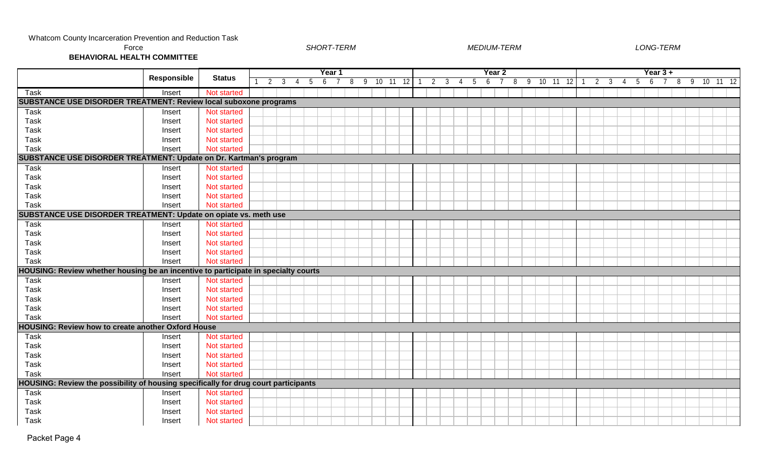| Force<br><b>BEHAVIORAL HEALTH COMMITTEE</b>                                         |             |               |   |   | <b>SHORT-TERM</b> |        |   |   |                 |    |    |  |   |   | <b>MEDIUM-TERM</b> |        |   |    |    |     |    |    |   |   | LONG-TERM  |   |    |                       |     |
|-------------------------------------------------------------------------------------|-------------|---------------|---|---|-------------------|--------|---|---|-----------------|----|----|--|---|---|--------------------|--------|---|----|----|-----|----|----|---|---|------------|---|----|-----------------------|-----|
|                                                                                     | Responsible | <b>Status</b> |   |   |                   | Year 1 |   |   |                 |    |    |  |   |   |                    | Year 2 |   |    |    |     |    |    |   |   | Year $3 +$ |   |    |                       |     |
|                                                                                     |             |               | 2 | 3 | $\mathfrak h$     | 6      | 8 | 9 | 10 <sup>1</sup> | 11 | 12 |  | 3 | 5 | 6                  |        | 8 | -9 | 10 | -11 | 12 | .3 | 5 | 6 |            | 8 | -9 | 10 <sup>°</sup><br>11 | -12 |
| Task                                                                                | Insert      | Not started   |   |   |                   |        |   |   |                 |    |    |  |   |   |                    |        |   |    |    |     |    |    |   |   |            |   |    |                       |     |
| <b>SUBSTANCE USE DISORDER TREATMENT: Review local suboxone programs</b>             |             |               |   |   |                   |        |   |   |                 |    |    |  |   |   |                    |        |   |    |    |     |    |    |   |   |            |   |    |                       |     |
| Task                                                                                | Insert      | Not started   |   |   |                   |        |   |   |                 |    |    |  |   |   |                    |        |   |    |    |     |    |    |   |   |            |   |    |                       |     |
| Task                                                                                | Insert      | Not started   |   |   |                   |        |   |   |                 |    |    |  |   |   |                    |        |   |    |    |     |    |    |   |   |            |   |    |                       |     |
| Task                                                                                | Insert      | Not started   |   |   |                   |        |   |   |                 |    |    |  |   |   |                    |        |   |    |    |     |    |    |   |   |            |   |    |                       |     |
| Task                                                                                | Insert      | Not started   |   |   |                   |        |   |   |                 |    |    |  |   |   |                    |        |   |    |    |     |    |    |   |   |            |   |    |                       |     |
| Task                                                                                | Insert      | Not started   |   |   |                   |        |   |   |                 |    |    |  |   |   |                    |        |   |    |    |     |    |    |   |   |            |   |    |                       |     |
| SUBSTANCE USE DISORDER TREATMENT: Update on Dr. Kartman's program                   |             |               |   |   |                   |        |   |   |                 |    |    |  |   |   |                    |        |   |    |    |     |    |    |   |   |            |   |    |                       |     |
| Task                                                                                | Insert      | Not started   |   |   |                   |        |   |   |                 |    |    |  |   |   |                    |        |   |    |    |     |    |    |   |   |            |   |    |                       |     |
| Task                                                                                | Insert      | Not started   |   |   |                   |        |   |   |                 |    |    |  |   |   |                    |        |   |    |    |     |    |    |   |   |            |   |    |                       |     |
| Task                                                                                | Insert      | Not started   |   |   |                   |        |   |   |                 |    |    |  |   |   |                    |        |   |    |    |     |    |    |   |   |            |   |    |                       |     |
| Task                                                                                | Insert      | Not started   |   |   |                   |        |   |   |                 |    |    |  |   |   |                    |        |   |    |    |     |    |    |   |   |            |   |    |                       |     |
| Task                                                                                | Insert      | Not started   |   |   |                   |        |   |   |                 |    |    |  |   |   |                    |        |   |    |    |     |    |    |   |   |            |   |    |                       |     |
| SUBSTANCE USE DISORDER TREATMENT: Update on opiate vs. meth use                     |             |               |   |   |                   |        |   |   |                 |    |    |  |   |   |                    |        |   |    |    |     |    |    |   |   |            |   |    |                       |     |
| Task                                                                                | Insert      | Not started   |   |   |                   |        |   |   |                 |    |    |  |   |   |                    |        |   |    |    |     |    |    |   |   |            |   |    |                       |     |
| Task                                                                                | Insert      | Not started   |   |   |                   |        |   |   |                 |    |    |  |   |   |                    |        |   |    |    |     |    |    |   |   |            |   |    |                       |     |
| Task                                                                                | Insert      | Not started   |   |   |                   |        |   |   |                 |    |    |  |   |   |                    |        |   |    |    |     |    |    |   |   |            |   |    |                       |     |
| Task                                                                                | Insert      | Not started   |   |   |                   |        |   |   |                 |    |    |  |   |   |                    |        |   |    |    |     |    |    |   |   |            |   |    |                       |     |
| Task                                                                                | Insert      | Not started   |   |   |                   |        |   |   |                 |    |    |  |   |   |                    |        |   |    |    |     |    |    |   |   |            |   |    |                       |     |
| HOUSING: Review whether housing be an incentive to participate in specialty courts  |             |               |   |   |                   |        |   |   |                 |    |    |  |   |   |                    |        |   |    |    |     |    |    |   |   |            |   |    |                       |     |
| Task                                                                                | Insert      | Not started   |   |   |                   |        |   |   |                 |    |    |  |   |   |                    |        |   |    |    |     |    |    |   |   |            |   |    |                       |     |
| Task                                                                                | Insert      | Not started   |   |   |                   |        |   |   |                 |    |    |  |   |   |                    |        |   |    |    |     |    |    |   |   |            |   |    |                       |     |
| Task                                                                                | Insert      | Not started   |   |   |                   |        |   |   |                 |    |    |  |   |   |                    |        |   |    |    |     |    |    |   |   |            |   |    |                       |     |
| Task                                                                                | Insert      | Not started   |   |   |                   |        |   |   |                 |    |    |  |   |   |                    |        |   |    |    |     |    |    |   |   |            |   |    |                       |     |
| Task                                                                                | Insert      | Not started   |   |   |                   |        |   |   |                 |    |    |  |   |   |                    |        |   |    |    |     |    |    |   |   |            |   |    |                       |     |
| <b>HOUSING: Review how to create another Oxford House</b>                           |             |               |   |   |                   |        |   |   |                 |    |    |  |   |   |                    |        |   |    |    |     |    |    |   |   |            |   |    |                       |     |
| Task                                                                                | Insert      | Not started   |   |   |                   |        |   |   |                 |    |    |  |   |   |                    |        |   |    |    |     |    |    |   |   |            |   |    |                       |     |
| Task                                                                                | Insert      | Not started   |   |   |                   |        |   |   |                 |    |    |  |   |   |                    |        |   |    |    |     |    |    |   |   |            |   |    |                       |     |
| Task                                                                                | Insert      | Not started   |   |   |                   |        |   |   |                 |    |    |  |   |   |                    |        |   |    |    |     |    |    |   |   |            |   |    |                       |     |
| Task                                                                                | Insert      | Not started   |   |   |                   |        |   |   |                 |    |    |  |   |   |                    |        |   |    |    |     |    |    |   |   |            |   |    |                       |     |
| Task                                                                                | Insert      | Not started   |   |   |                   |        |   |   |                 |    |    |  |   |   |                    |        |   |    |    |     |    |    |   |   |            |   |    |                       |     |
| HOUSING: Review the possibility of housing specifically for drug court participants |             |               |   |   |                   |        |   |   |                 |    |    |  |   |   |                    |        |   |    |    |     |    |    |   |   |            |   |    |                       |     |
| Task                                                                                | Insert      | Not started   |   |   |                   |        |   |   |                 |    |    |  |   |   |                    |        |   |    |    |     |    |    |   |   |            |   |    |                       |     |
| Task                                                                                | Insert      | Not started   |   |   |                   |        |   |   |                 |    |    |  |   |   |                    |        |   |    |    |     |    |    |   |   |            |   |    |                       |     |
| Task                                                                                | Insert      | Not started   |   |   |                   |        |   |   |                 |    |    |  |   |   |                    |        |   |    |    |     |    |    |   |   |            |   |    |                       |     |
| Task                                                                                | Insert      | Not started   |   |   |                   |        |   |   |                 |    |    |  |   |   |                    |        |   |    |    |     |    |    |   |   |            |   |    |                       |     |

Packet Page 4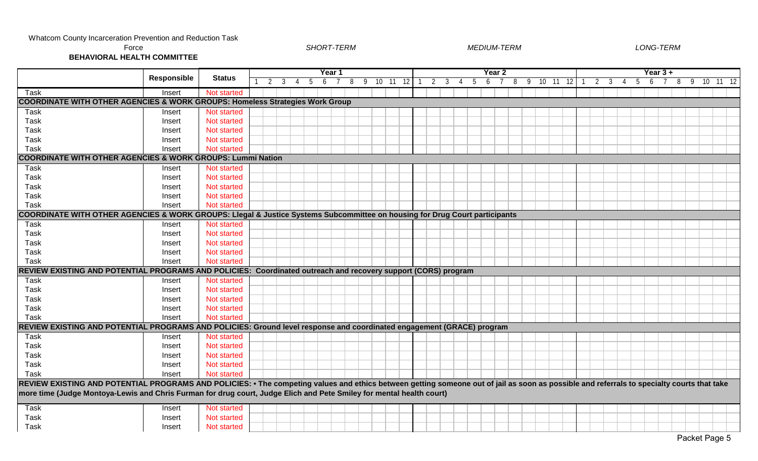| Force<br><b>BEHAVIORAL HEALTH COMMITTEE</b>                                                                                                                                                |                    |                    |   |   |   |   |   | SHORT-TERM |   |   |         |     |                |   |                |    | <b>MEDIUM-TERM</b> |        |   |   |       |    |  |   |                | <b>LONG-TERM</b> |   |          |   |   |    |     |  |
|--------------------------------------------------------------------------------------------------------------------------------------------------------------------------------------------|--------------------|--------------------|---|---|---|---|---|------------|---|---|---------|-----|----------------|---|----------------|----|--------------------|--------|---|---|-------|----|--|---|----------------|------------------|---|----------|---|---|----|-----|--|
|                                                                                                                                                                                            |                    |                    |   |   |   |   |   | Year 1     |   |   |         |     |                |   |                |    |                    | Year 2 |   |   |       |    |  |   |                |                  |   | Year 3 + |   |   |    |     |  |
|                                                                                                                                                                                            | <b>Responsible</b> | <b>Status</b>      | 2 | 3 | 4 | 5 | 6 |            | 8 | 9 | $10$ 11 | -12 | $\overline{2}$ | 3 | $\overline{4}$ | -5 | 6                  |        | 8 | 9 | 10 11 | 12 |  | 3 | $\overline{4}$ | .5               | 6 |          | 8 | 9 | 10 | -11 |  |
| Task                                                                                                                                                                                       | Insert             | Not started        |   |   |   |   |   |            |   |   |         |     |                |   |                |    |                    |        |   |   |       |    |  |   |                |                  |   |          |   |   |    |     |  |
| <b>COORDINATE WITH OTHER AGENCIES &amp; WORK GROUPS: Homeless Strategies Work Group</b>                                                                                                    |                    |                    |   |   |   |   |   |            |   |   |         |     |                |   |                |    |                    |        |   |   |       |    |  |   |                |                  |   |          |   |   |    |     |  |
| Task                                                                                                                                                                                       | Insert             | Not started        |   |   |   |   |   |            |   |   |         |     |                |   |                |    |                    |        |   |   |       |    |  |   |                |                  |   |          |   |   |    |     |  |
| <b>Task</b>                                                                                                                                                                                | Insert             | Not started        |   |   |   |   |   |            |   |   |         |     |                |   |                |    |                    |        |   |   |       |    |  |   |                |                  |   |          |   |   |    |     |  |
| <b>Task</b>                                                                                                                                                                                | Insert             | Not started        |   |   |   |   |   |            |   |   |         |     |                |   |                |    |                    |        |   |   |       |    |  |   |                |                  |   |          |   |   |    |     |  |
| Task                                                                                                                                                                                       | Insert             | <b>Not started</b> |   |   |   |   |   |            |   |   |         |     |                |   |                |    |                    |        |   |   |       |    |  |   |                |                  |   |          |   |   |    |     |  |
| Task                                                                                                                                                                                       | Insert             | Not started        |   |   |   |   |   |            |   |   |         |     |                |   |                |    |                    |        |   |   |       |    |  |   |                |                  |   |          |   |   |    |     |  |
| <b>COORDINATE WITH OTHER AGENCIES &amp; WORK GROUPS: Lummi Nation</b>                                                                                                                      |                    |                    |   |   |   |   |   |            |   |   |         |     |                |   |                |    |                    |        |   |   |       |    |  |   |                |                  |   |          |   |   |    |     |  |
| Task                                                                                                                                                                                       | Insert             | Not started        |   |   |   |   |   |            |   |   |         |     |                |   |                |    |                    |        |   |   |       |    |  |   |                |                  |   |          |   |   |    |     |  |
| <b>Task</b>                                                                                                                                                                                | Insert             | Not started        |   |   |   |   |   |            |   |   |         |     |                |   |                |    |                    |        |   |   |       |    |  |   |                |                  |   |          |   |   |    |     |  |
| Task                                                                                                                                                                                       | Insert             | Not started        |   |   |   |   |   |            |   |   |         |     |                |   |                |    |                    |        |   |   |       |    |  |   |                |                  |   |          |   |   |    |     |  |
| Task                                                                                                                                                                                       | Insert             | Not started        |   |   |   |   |   |            |   |   |         |     |                |   |                |    |                    |        |   |   |       |    |  |   |                |                  |   |          |   |   |    |     |  |
| Task                                                                                                                                                                                       | Insert             | Not started        |   |   |   |   |   |            |   |   |         |     |                |   |                |    |                    |        |   |   |       |    |  |   |                |                  |   |          |   |   |    |     |  |
| COORDINATE WITH OTHER AGENCIES & WORK GROUPS: Llegal & Justice Systems Subcommittee on housing for Drug Court participants                                                                 |                    |                    |   |   |   |   |   |            |   |   |         |     |                |   |                |    |                    |        |   |   |       |    |  |   |                |                  |   |          |   |   |    |     |  |
| Task                                                                                                                                                                                       | Insert             | Not started        |   |   |   |   |   |            |   |   |         |     |                |   |                |    |                    |        |   |   |       |    |  |   |                |                  |   |          |   |   |    |     |  |
| Task                                                                                                                                                                                       | Insert             | <b>Not started</b> |   |   |   |   |   |            |   |   |         |     |                |   |                |    |                    |        |   |   |       |    |  |   |                |                  |   |          |   |   |    |     |  |
| Task                                                                                                                                                                                       | Insert             | Not started        |   |   |   |   |   |            |   |   |         |     |                |   |                |    |                    |        |   |   |       |    |  |   |                |                  |   |          |   |   |    |     |  |
| <b>Task</b>                                                                                                                                                                                | Insert             | Not started        |   |   |   |   |   |            |   |   |         |     |                |   |                |    |                    |        |   |   |       |    |  |   |                |                  |   |          |   |   |    |     |  |
| <b>Task</b>                                                                                                                                                                                | Insert             | Not started        |   |   |   |   |   |            |   |   |         |     |                |   |                |    |                    |        |   |   |       |    |  |   |                |                  |   |          |   |   |    |     |  |
| REVIEW EXISTING AND POTENTIAL PROGRAMS AND POLICIES: Coordinated outreach and recovery support (CORS) program                                                                              |                    |                    |   |   |   |   |   |            |   |   |         |     |                |   |                |    |                    |        |   |   |       |    |  |   |                |                  |   |          |   |   |    |     |  |
| Task                                                                                                                                                                                       | Insert             | Not started        |   |   |   |   |   |            |   |   |         |     |                |   |                |    |                    |        |   |   |       |    |  |   |                |                  |   |          |   |   |    |     |  |
| Task                                                                                                                                                                                       | Insert             | Not started        |   |   |   |   |   |            |   |   |         |     |                |   |                |    |                    |        |   |   |       |    |  |   |                |                  |   |          |   |   |    |     |  |
| <b>Task</b>                                                                                                                                                                                | Insert             | Not started        |   |   |   |   |   |            |   |   |         |     |                |   |                |    |                    |        |   |   |       |    |  |   |                |                  |   |          |   |   |    |     |  |
| Task                                                                                                                                                                                       | Insert             | Not started        |   |   |   |   |   |            |   |   |         |     |                |   |                |    |                    |        |   |   |       |    |  |   |                |                  |   |          |   |   |    |     |  |
| <b>Task</b>                                                                                                                                                                                | Insert             | Not started        |   |   |   |   |   |            |   |   |         |     |                |   |                |    |                    |        |   |   |       |    |  |   |                |                  |   |          |   |   |    |     |  |
| REVIEW EXISTING AND POTENTIAL PROGRAMS AND POLICIES: Ground level response and coordinated engagement (GRACE) program                                                                      |                    |                    |   |   |   |   |   |            |   |   |         |     |                |   |                |    |                    |        |   |   |       |    |  |   |                |                  |   |          |   |   |    |     |  |
| Task                                                                                                                                                                                       | Insert             | Not started        |   |   |   |   |   |            |   |   |         |     |                |   |                |    |                    |        |   |   |       |    |  |   |                |                  |   |          |   |   |    |     |  |
| Task                                                                                                                                                                                       | Insert             | Not started        |   |   |   |   |   |            |   |   |         |     |                |   |                |    |                    |        |   |   |       |    |  |   |                |                  |   |          |   |   |    |     |  |
| Task                                                                                                                                                                                       | Insert             | Not started        |   |   |   |   |   |            |   |   |         |     |                |   |                |    |                    |        |   |   |       |    |  |   |                |                  |   |          |   |   |    |     |  |
| <b>Task</b>                                                                                                                                                                                | Insert             | Not started        |   |   |   |   |   |            |   |   |         |     |                |   |                |    |                    |        |   |   |       |    |  |   |                |                  |   |          |   |   |    |     |  |
| Task                                                                                                                                                                                       | Insert             | Not started        |   |   |   |   |   |            |   |   |         |     |                |   |                |    |                    |        |   |   |       |    |  |   |                |                  |   |          |   |   |    |     |  |
| REVIEW EXISTING AND POTENTIAL PROGRAMS AND POLICIES: • The competing values and ethics between getting someone out of jail as soon as possible and referrals to specialty courts that take |                    |                    |   |   |   |   |   |            |   |   |         |     |                |   |                |    |                    |        |   |   |       |    |  |   |                |                  |   |          |   |   |    |     |  |
| more time (Judge Montoya-Lewis and Chris Furman for drug court, Judge Elich and Pete Smiley for mental health court)                                                                       |                    |                    |   |   |   |   |   |            |   |   |         |     |                |   |                |    |                    |        |   |   |       |    |  |   |                |                  |   |          |   |   |    |     |  |
| Task                                                                                                                                                                                       | Insert             | Not started        |   |   |   |   |   |            |   |   |         |     |                |   |                |    |                    |        |   |   |       |    |  |   |                |                  |   |          |   |   |    |     |  |
| Task                                                                                                                                                                                       | Insert             | Not started        |   |   |   |   |   |            |   |   |         |     |                |   |                |    |                    |        |   |   |       |    |  |   |                |                  |   |          |   |   |    |     |  |
| Task                                                                                                                                                                                       | Insert             | Not started        |   |   |   |   |   |            |   |   |         |     |                |   |                |    |                    |        |   |   |       |    |  |   |                |                  |   |          |   |   |    |     |  |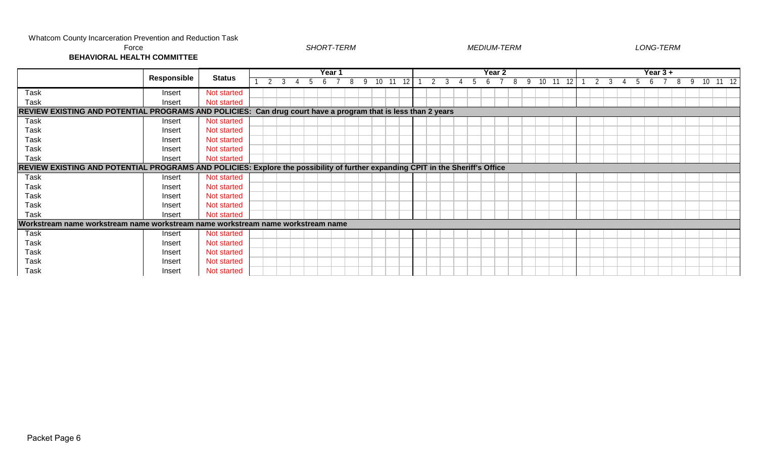| Force                                                                                                                          |                    |               |  |  | <b>SHORT-TERM</b> |        |  |  |  |  |  |        | <b>MEDIUM-TERM</b> |  |  |  |  | LONG-TERM  |  |  |  |
|--------------------------------------------------------------------------------------------------------------------------------|--------------------|---------------|--|--|-------------------|--------|--|--|--|--|--|--------|--------------------|--|--|--|--|------------|--|--|--|
| <b>BEHAVIORAL HEALTH COMMITTEE</b>                                                                                             |                    |               |  |  |                   |        |  |  |  |  |  |        |                    |  |  |  |  |            |  |  |  |
|                                                                                                                                |                    |               |  |  |                   | Year 1 |  |  |  |  |  | Year 2 |                    |  |  |  |  | Year $3 +$ |  |  |  |
|                                                                                                                                | <b>Responsible</b> | <b>Status</b> |  |  |                   |        |  |  |  |  |  |        |                    |  |  |  |  |            |  |  |  |
| Task                                                                                                                           | Insert             | Not started   |  |  |                   |        |  |  |  |  |  |        |                    |  |  |  |  |            |  |  |  |
| Task                                                                                                                           | Insert             | Not started   |  |  |                   |        |  |  |  |  |  |        |                    |  |  |  |  |            |  |  |  |
| REVIEW EXISTING AND POTENTIAL PROGRAMS AND POLICIES: Can drug court have a program that is less than 2 years                   |                    |               |  |  |                   |        |  |  |  |  |  |        |                    |  |  |  |  |            |  |  |  |
| Task                                                                                                                           | Insert             | Not started   |  |  |                   |        |  |  |  |  |  |        |                    |  |  |  |  |            |  |  |  |
| Task                                                                                                                           | Insert             | Not started   |  |  |                   |        |  |  |  |  |  |        |                    |  |  |  |  |            |  |  |  |
| Task                                                                                                                           | Insert             | Not started   |  |  |                   |        |  |  |  |  |  |        |                    |  |  |  |  |            |  |  |  |
| Task                                                                                                                           | Insert             | Not started   |  |  |                   |        |  |  |  |  |  |        |                    |  |  |  |  |            |  |  |  |
| Task                                                                                                                           | Insert             | Not started   |  |  |                   |        |  |  |  |  |  |        |                    |  |  |  |  |            |  |  |  |
| REVIEW EXISTING AND POTENTIAL PROGRAMS AND POLICIES: Explore the possibility of further expanding CPIT in the Sheriff's Office |                    |               |  |  |                   |        |  |  |  |  |  |        |                    |  |  |  |  |            |  |  |  |
| Task                                                                                                                           | Insert             | Not started   |  |  |                   |        |  |  |  |  |  |        |                    |  |  |  |  |            |  |  |  |
| Task                                                                                                                           | Insert             | Not started   |  |  |                   |        |  |  |  |  |  |        |                    |  |  |  |  |            |  |  |  |
| Task                                                                                                                           | Insert             | Not started   |  |  |                   |        |  |  |  |  |  |        |                    |  |  |  |  |            |  |  |  |
| Task                                                                                                                           | Insert             | Not started   |  |  |                   |        |  |  |  |  |  |        |                    |  |  |  |  |            |  |  |  |
| Task                                                                                                                           | Insert             | Not started   |  |  |                   |        |  |  |  |  |  |        |                    |  |  |  |  |            |  |  |  |
| Workstream name workstream name workstream name workstream name workstream name                                                |                    |               |  |  |                   |        |  |  |  |  |  |        |                    |  |  |  |  |            |  |  |  |
| Task                                                                                                                           | Insert             | Not started   |  |  |                   |        |  |  |  |  |  |        |                    |  |  |  |  |            |  |  |  |
| Task                                                                                                                           | Insert             | Not started   |  |  |                   |        |  |  |  |  |  |        |                    |  |  |  |  |            |  |  |  |
| Task                                                                                                                           | Insert             | Not started   |  |  |                   |        |  |  |  |  |  |        |                    |  |  |  |  |            |  |  |  |
| Task                                                                                                                           | Insert             | Not started   |  |  |                   |        |  |  |  |  |  |        |                    |  |  |  |  |            |  |  |  |
| Task                                                                                                                           | Insert             | Not started   |  |  |                   |        |  |  |  |  |  |        |                    |  |  |  |  |            |  |  |  |